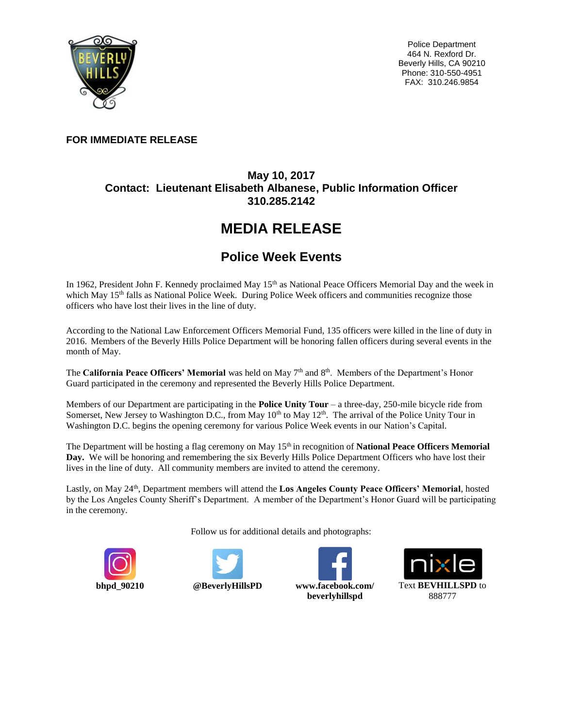

Police Department 464 N. Rexford Dr. Beverly Hills, CA 90210 Phone: 310-550-4951 FAX: 310.246.9854

## **FOR IMMEDIATE RELEASE**

## **May 10, 2017 Contact: Lieutenant Elisabeth Albanese, Public Information Officer 310.285.2142**

## **MEDIA RELEASE**

## **Police Week Events**

In 1962, President John F. Kennedy proclaimed May 15<sup>th</sup> as National Peace Officers Memorial Day and the week in which May 15<sup>th</sup> falls as National Police Week. During Police Week officers and communities recognize those officers who have lost their lives in the line of duty.

According to the National Law Enforcement Officers Memorial Fund, 135 officers were killed in the line of duty in 2016. Members of the Beverly Hills Police Department will be honoring fallen officers during several events in the month of May.

The **California Peace Officers' Memorial** was held on May 7<sup>th</sup> and 8<sup>th</sup>. Members of the Department's Honor Guard participated in the ceremony and represented the Beverly Hills Police Department.

Members of our Department are participating in the **Police Unity Tour** – a three-day, 250-mile bicycle ride from Somerset, New Jersey to Washington D.C., from May  $10<sup>th</sup>$  to May  $12<sup>th</sup>$ . The arrival of the Police Unity Tour in Washington D.C. begins the opening ceremony for various Police Week events in our Nation's Capital.

The Department will be hosting a flag ceremony on May 15<sup>th</sup> in recognition of National Peace Officers Memorial **Day.** We will be honoring and remembering the six Beverly Hills Police Department Officers who have lost their lives in the line of duty. All community members are invited to attend the ceremony.

Lastly, on May 24th, Department members will attend the **Los Angeles County Peace Officers' Memorial**, hosted by the Los Angeles County Sheriff's Department. A member of the Department's Honor Guard will be participating in the ceremony.

Follow us for additional details and photographs: